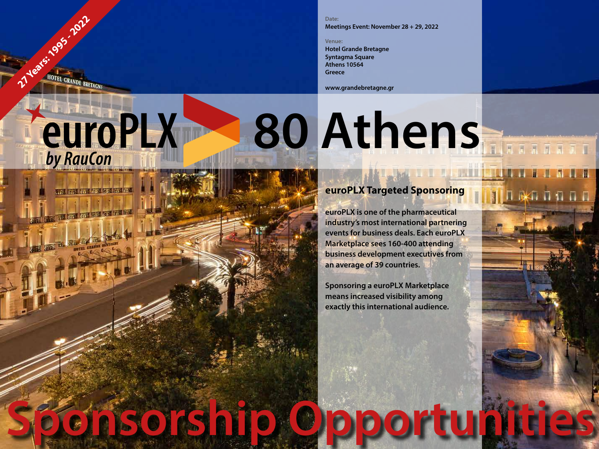**Date: Meetings Event: November 28 + 29, 2022**

**Venue: Hotel Grande Bretagne Syntagma Square Athens 10564 Greece**

**22 Years: 1995 - 2022** 

**Euro PLX** 

THE SINE ONE CAN THE SINE OF

**www.grandebretagne.gr**

# **80 Athens**

### **euroPLX Targeted Sponsoring**

 $\Pi$  in  $\Pi$  in  $\Pi$  in  $\Pi$ 

**euroPLX is one of the pharmaceutical industry's most international partnering events for business deals. Each euroPLX Marketplace sees 160-400 attending business development executives from an average of 39 countries.**

**Sponsoring a euroPLX Marketplace means increased visibility among exactly this international audience.**

**Sponsorship Opportunities**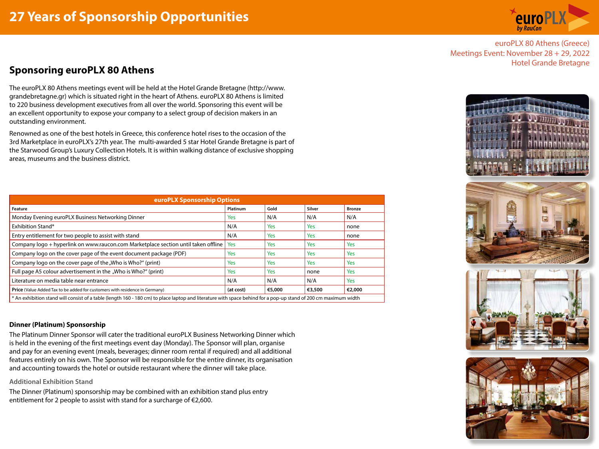

## euroPLX 80 Athens (Greece) Meetings Event: November 28 + 29, 2022

# Hotel Grande Bretagne **Sponsoring euroPLX 80 Athens**

The euroPLX 80 Athens meetings event will be held at the Hotel Grande Bretagne (http://www. grandebretagne.gr) which is situated right in the heart of Athens. euroPLX 80 Athens is limited to 220 business development executives from all over the world. Sponsoring this event will be an excellent opportunity to expose your company to a select group of decision makers in an outstanding environment.

Renowned as one of the best hotels in Greece, this conference hotel rises to the occasion of the 3rd Marketplace in euroPLX's 27th year. The multi-awarded 5 star Hotel Grande Bretagne is part of the Starwood Group's Luxury Collection Hotels. It is within walking distance of exclusive shopping areas, museums and the business district.

| <b>euroPLX Sponsorship Options</b>                                                                                                                              |           |            |            |               |
|-----------------------------------------------------------------------------------------------------------------------------------------------------------------|-----------|------------|------------|---------------|
| Feature                                                                                                                                                         | Platinum  | Gold       | Silver     | <b>Bronze</b> |
| Monday Evening euroPLX Business Networking Dinner                                                                                                               | Yes       | N/A        | N/A        | N/A           |
| Exhibition Stand*                                                                                                                                               | N/A       | <b>Yes</b> | Yes        | none          |
| Entry entitlement for two people to assist with stand                                                                                                           | N/A       | <b>Yes</b> | <b>Yes</b> | none          |
| Company logo + hyperlink on www.raucon.com Marketplace section until taken offline                                                                              | Yes       | <b>Yes</b> | Yes        | <b>Yes</b>    |
| Company logo on the cover page of the event document package (PDF)                                                                                              | Yes       | <b>Yes</b> | Yes        | <b>Yes</b>    |
| Company logo on the cover page of the "Who is Who?" (print)                                                                                                     | Yes:      | <b>Yes</b> | <b>Yes</b> | <b>Yes</b>    |
| Full page A5 colour advertisement in the "Who is Who?" (print)                                                                                                  | Yes       | <b>Yes</b> | none       | <b>Yes</b>    |
| Literature on media table near entrance                                                                                                                         | N/A       | N/A        | N/A        | Yes           |
| Price (Value Added Tax to be added for customers with residence in Germany)                                                                                     | (at cost) | €5,000     | €3,500     | €2,000        |
| * An exhibition stand will consist of a table (length 160 - 180 cm) to place laptop and literature with space behind for a pop-up stand of 200 cm maximum width |           |            |            |               |

#### **Dinner (Platinum) Sponsorship**

The Platinum Dinner Sponsor will cater the traditional euroPLX Business Networking Dinner which is held in the evening of the first meetings event day (Monday). The Sponsor will plan, organise and pay for an evening event (meals, beverages; dinner room rental if required) and all additional features entirely on his own. The Sponsor will be responsible for the entire dinner, its organisation and accounting towards the hotel or outside restaurant where the dinner will take place.

#### **Additional Exhibition Stand**

The Dinner (Platinum) sponsorship may be combined with an exhibition stand plus entry entitlement for 2 people to assist with stand for a surcharge of €2,600.